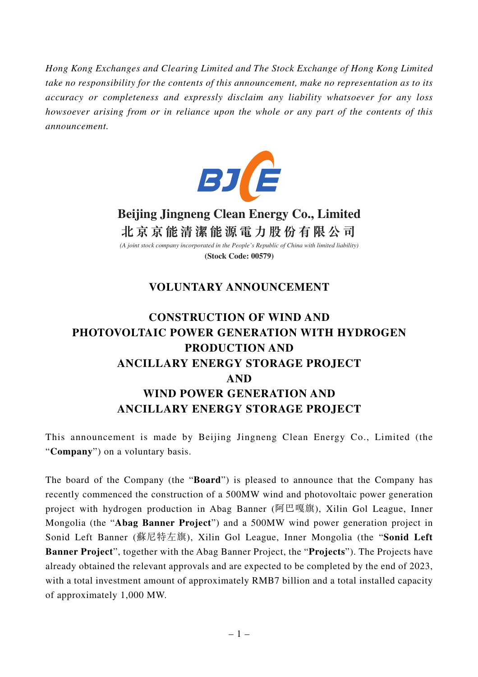*Hong Kong Exchanges and Clearing Limited and The Stock Exchange of Hong Kong Limited take no responsibility for the contents of this announcement, make no representation as to its accuracy or completeness and expressly disclaim any liability whatsoever for any loss howsoever arising from or in reliance upon the whole or any part of the contents of this announcement.*



# **Beijing Jingneng Clean Energy Co., Limited 北京京能清潔能源電力股份有限公司**

*(A joint stock company incorporated in the People's Republic of China with limited liability)* **(Stock Code: 00579)**

### **VOLUNTARY ANNOUNCEMENT**

# **CONSTRUCTION OF WIND AND PHOTOVOLTAIC POWER GENERATION WITH HYDROGEN PRODUCTION AND ANCILLARY ENERGY STORAGE PROJECT AND WIND POWER GENERATION AND ANCILLARY ENERGY STORAGE PROJECT**

This announcement is made by Beijing Jingneng Clean Energy Co., Limited (the "**Company**") on a voluntary basis.

The board of the Company (the "**Board**") is pleased to announce that the Company has recently commenced the construction of a 500MW wind and photovoltaic power generation project with hydrogen production in Abag Banner (阿巴嘎旗), Xilin Gol League, Inner Mongolia (the "**Abag Banner Project**") and a 500MW wind power generation project in Sonid Left Banner (蘇尼特左旗), Xilin Gol League, Inner Mongolia (the "**Sonid Left Banner Project**", together with the Abag Banner Project, the "**Projects**"). The Projects have already obtained the relevant approvals and are expected to be completed by the end of 2023, with a total investment amount of approximately RMB7 billion and a total installed capacity of approximately 1,000 MW.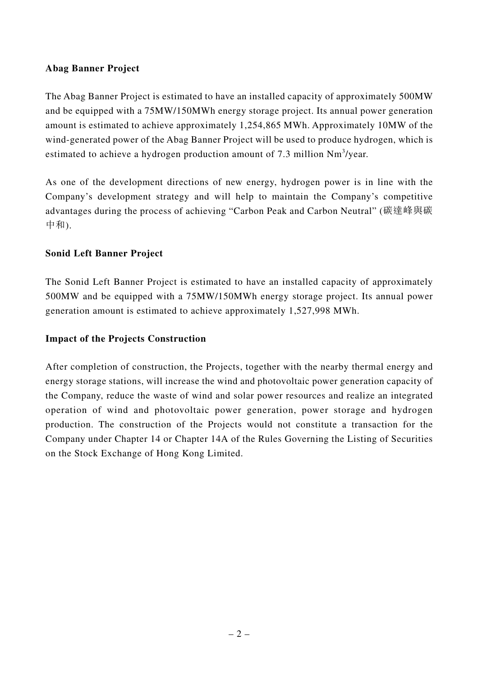### **Abag Banner Project**

The Abag Banner Project is estimated to have an installed capacity of approximately 500MW and be equipped with a 75MW/150MWh energy storage project. Its annual power generation amount is estimated to achieve approximately 1,254,865 MWh. Approximately 10MW of the wind-generated power of the Abag Banner Project will be used to produce hydrogen, which is estimated to achieve a hydrogen production amount of 7.3 million  $Nm^3$ /year.

As one of the development directions of new energy, hydrogen power is in line with the Company's development strategy and will help to maintain the Company's competitive advantages during the process of achieving "Carbon Peak and Carbon Neutral" (碳達峰與碳 中和).

#### **Sonid Left Banner Project**

The Sonid Left Banner Project is estimated to have an installed capacity of approximately 500MW and be equipped with a 75MW/150MWh energy storage project. Its annual power generation amount is estimated to achieve approximately 1,527,998 MWh.

#### **Impact of the Projects Construction**

After completion of construction, the Projects, together with the nearby thermal energy and energy storage stations, will increase the wind and photovoltaic power generation capacity of the Company, reduce the waste of wind and solar power resources and realize an integrated operation of wind and photovoltaic power generation, power storage and hydrogen production. The construction of the Projects would not constitute a transaction for the Company under Chapter 14 or Chapter 14A of the Rules Governing the Listing of Securities on the Stock Exchange of Hong Kong Limited.